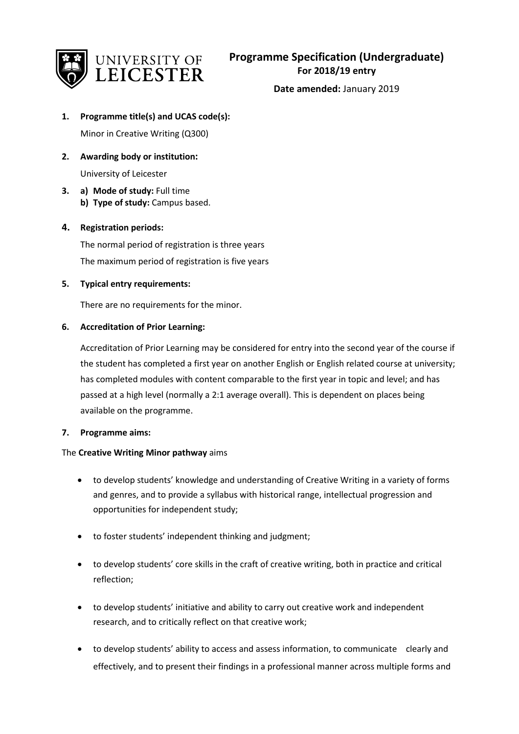

**Date amended:** January 2019

**1. Programme title(s) and UCAS code(s):**

Minor in Creative Writing (Q300)

**2. Awarding body or institution:**

University of Leicester

**3. a) Mode of study:** Full time **b) Type of study:** Campus based.

# **4. Registration periods:**

The normal period of registration is three years The maximum period of registration is five years

**5. Typical entry requirements:**

There are no requirements for the minor.

# **6. Accreditation of Prior Learning:**

Accreditation of Prior Learning may be considered for entry into the second year of the course if the student has completed a first year on another English or English related course at university; has completed modules with content comparable to the first year in topic and level; and has passed at a high level (normally a 2:1 average overall). This is dependent on places being available on the programme.

## **7. Programme aims:**

## The **Creative Writing Minor pathway** aims

- to develop students' knowledge and understanding of Creative Writing in a variety of forms and genres, and to provide a syllabus with historical range, intellectual progression and opportunities for independent study;
- to foster students' independent thinking and judgment;
- to develop students' core skills in the craft of creative writing, both in practice and critical reflection;
- to develop students' initiative and ability to carry out creative work and independent research, and to critically reflect on that creative work;
- to develop students' ability to access and assess information, to communicate clearly and effectively, and to present their findings in a professional manner across multiple forms and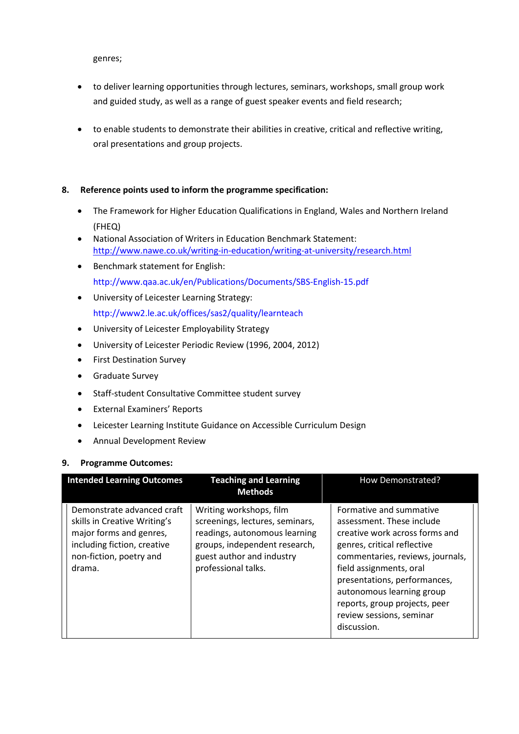genres;

- to deliver learning opportunities through lectures, seminars, workshops, small group work and guided study, as well as a range of guest speaker events and field research;
- to enable students to demonstrate their abilities in creative, critical and reflective writing, oral presentations and group projects.

## **8. Reference points used to inform the programme specification:**

- The Framework for Higher Education Qualifications in England, Wales and Northern Ireland (FHEQ)
- National Association of Writers in Education Benchmark Statement: <http://www.nawe.co.uk/writing-in-education/writing-at-university/research.html>
- Benchmark statement for English: http://www.qaa.ac.uk/en/Publications/Documents/SBS-English-15.pdf
- University of Leicester Learning Strategy: http://www2.le.ac.uk/offices/sas2/quality/learnteach
- University of Leicester Employability Strategy
- University of Leicester Periodic Review (1996, 2004, 2012)
- First Destination Survey
- Graduate Survey
- Staff-student Consultative Committee student survey
- External Examiners' Reports
- Leicester Learning Institute Guidance on Accessible Curriculum Design
- Annual Development Review

## **9. Programme Outcomes:**

| <b>Intended Learning Outcomes</b>                                                                                                                         | <b>Teaching and Learning</b><br><b>Methods</b>                                                                                                                                   | How Demonstrated?                                                                                                                                                                                                                                                                                                             |
|-----------------------------------------------------------------------------------------------------------------------------------------------------------|----------------------------------------------------------------------------------------------------------------------------------------------------------------------------------|-------------------------------------------------------------------------------------------------------------------------------------------------------------------------------------------------------------------------------------------------------------------------------------------------------------------------------|
| Demonstrate advanced craft<br>skills in Creative Writing's<br>major forms and genres,<br>including fiction, creative<br>non-fiction, poetry and<br>drama. | Writing workshops, film<br>screenings, lectures, seminars,<br>readings, autonomous learning<br>groups, independent research,<br>guest author and industry<br>professional talks. | Formative and summative<br>assessment. These include<br>creative work across forms and<br>genres, critical reflective<br>commentaries, reviews, journals,<br>field assignments, oral<br>presentations, performances,<br>autonomous learning group<br>reports, group projects, peer<br>review sessions, seminar<br>discussion. |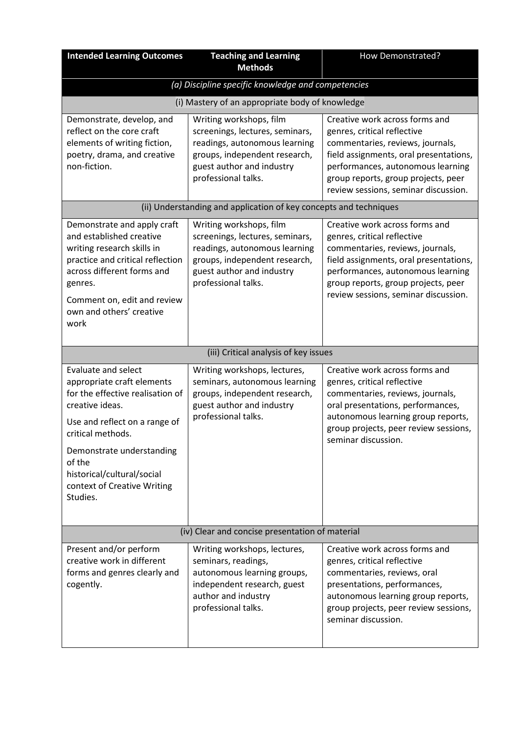| <b>Intended Learning Outcomes</b>                                                                                                                                                                                                                                                     | <b>Teaching and Learning</b><br><b>Methods</b>                                                                                                                                   | How Demonstrated?                                                                                                                                                                                                                                               |  |
|---------------------------------------------------------------------------------------------------------------------------------------------------------------------------------------------------------------------------------------------------------------------------------------|----------------------------------------------------------------------------------------------------------------------------------------------------------------------------------|-----------------------------------------------------------------------------------------------------------------------------------------------------------------------------------------------------------------------------------------------------------------|--|
| (a) Discipline specific knowledge and competencies                                                                                                                                                                                                                                    |                                                                                                                                                                                  |                                                                                                                                                                                                                                                                 |  |
|                                                                                                                                                                                                                                                                                       | (i) Mastery of an appropriate body of knowledge                                                                                                                                  |                                                                                                                                                                                                                                                                 |  |
| Demonstrate, develop, and<br>reflect on the core craft<br>elements of writing fiction,<br>poetry, drama, and creative<br>non-fiction.                                                                                                                                                 | Writing workshops, film<br>screenings, lectures, seminars,<br>readings, autonomous learning<br>groups, independent research,<br>guest author and industry<br>professional talks. | Creative work across forms and<br>genres, critical reflective<br>commentaries, reviews, journals,<br>field assignments, oral presentations,<br>performances, autonomous learning<br>group reports, group projects, peer<br>review sessions, seminar discussion. |  |
|                                                                                                                                                                                                                                                                                       | (ii) Understanding and application of key concepts and techniques                                                                                                                |                                                                                                                                                                                                                                                                 |  |
| Demonstrate and apply craft<br>and established creative<br>writing research skills in<br>practice and critical reflection<br>across different forms and<br>genres.<br>Comment on, edit and review<br>own and others' creative<br>work                                                 | Writing workshops, film<br>screenings, lectures, seminars,<br>readings, autonomous learning<br>groups, independent research,<br>guest author and industry<br>professional talks. | Creative work across forms and<br>genres, critical reflective<br>commentaries, reviews, journals,<br>field assignments, oral presentations,<br>performances, autonomous learning<br>group reports, group projects, peer<br>review sessions, seminar discussion. |  |
|                                                                                                                                                                                                                                                                                       |                                                                                                                                                                                  |                                                                                                                                                                                                                                                                 |  |
|                                                                                                                                                                                                                                                                                       | (iii) Critical analysis of key issues                                                                                                                                            |                                                                                                                                                                                                                                                                 |  |
| <b>Evaluate and select</b><br>appropriate craft elements<br>for the effective realisation of<br>creative ideas.<br>Use and reflect on a range of<br>critical methods.<br>Demonstrate understanding<br>of the<br>historical/cultural/social<br>context of Creative Writing<br>Studies. | Writing workshops, lectures,<br>seminars, autonomous learning<br>groups, independent research,<br>guest author and industry<br>professional talks.                               | Creative work across forms and<br>genres, critical reflective<br>commentaries, reviews, journals,<br>oral presentations, performances,<br>autonomous learning group reports,<br>group projects, peer review sessions,<br>seminar discussion.                    |  |
|                                                                                                                                                                                                                                                                                       | (iv) Clear and concise presentation of material                                                                                                                                  |                                                                                                                                                                                                                                                                 |  |
| Present and/or perform<br>creative work in different<br>forms and genres clearly and<br>cogently.                                                                                                                                                                                     | Writing workshops, lectures,<br>seminars, readings,<br>autonomous learning groups,<br>independent research, guest<br>author and industry<br>professional talks.                  | Creative work across forms and<br>genres, critical reflective<br>commentaries, reviews, oral<br>presentations, performances,<br>autonomous learning group reports,<br>group projects, peer review sessions,<br>seminar discussion.                              |  |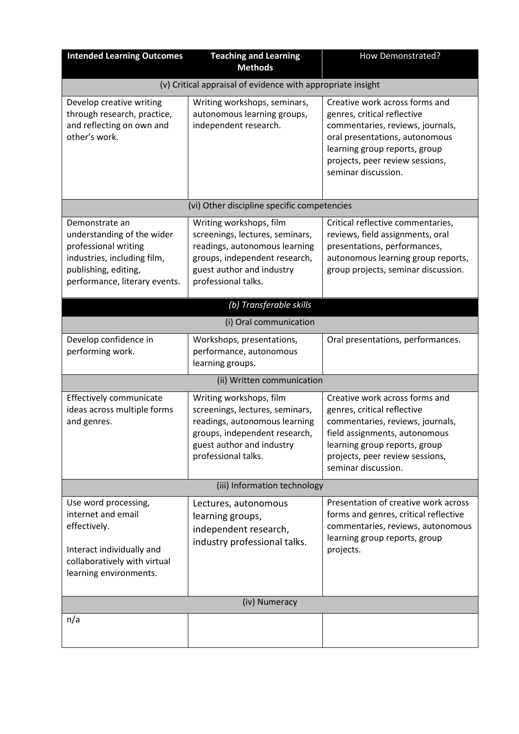| <b>Intended Learning Outcomes</b>                                                                                                                            | <b>Teaching and Learning</b><br><b>Methods</b>                                                                                                                                                                                        | How Demonstrated?                                                                                                                                                                                                              |  |
|--------------------------------------------------------------------------------------------------------------------------------------------------------------|---------------------------------------------------------------------------------------------------------------------------------------------------------------------------------------------------------------------------------------|--------------------------------------------------------------------------------------------------------------------------------------------------------------------------------------------------------------------------------|--|
|                                                                                                                                                              | (v) Critical appraisal of evidence with appropriate insight                                                                                                                                                                           |                                                                                                                                                                                                                                |  |
| Develop creative writing<br>through research, practice,<br>and reflecting on own and<br>other's work.                                                        | Writing workshops, seminars,<br>autonomous learning groups,<br>independent research.                                                                                                                                                  | Creative work across forms and<br>genres, critical reflective<br>commentaries, reviews, journals,<br>oral presentations, autonomous<br>learning group reports, group<br>projects, peer review sessions,<br>seminar discussion. |  |
|                                                                                                                                                              | (vi) Other discipline specific competencies                                                                                                                                                                                           |                                                                                                                                                                                                                                |  |
| Demonstrate an<br>understanding of the wider<br>professional writing<br>industries, including film,<br>publishing, editing,<br>performance, literary events. | Writing workshops, film<br>screenings, lectures, seminars,<br>readings, autonomous learning<br>groups, independent research,<br>guest author and industry<br>professional talks.<br>(b) Transferable skills<br>(i) Oral communication | Critical reflective commentaries,<br>reviews, field assignments, oral<br>presentations, performances,<br>autonomous learning group reports,<br>group projects, seminar discussion.                                             |  |
| Develop confidence in                                                                                                                                        | Workshops, presentations,                                                                                                                                                                                                             | Oral presentations, performances.                                                                                                                                                                                              |  |
| performing work.                                                                                                                                             | performance, autonomous<br>learning groups.                                                                                                                                                                                           |                                                                                                                                                                                                                                |  |
|                                                                                                                                                              | (ii) Written communication                                                                                                                                                                                                            |                                                                                                                                                                                                                                |  |
| Effectively communicate<br>ideas across multiple forms<br>and genres.                                                                                        | Writing workshops, film<br>screenings, lectures, seminars,<br>readings, autonomous learning<br>groups, independent research,<br>guest author and industry<br>professional talks.                                                      | Creative work across forms and<br>genres, critical reflective<br>commentaries, reviews, journals,<br>field assignments, autonomous<br>learning group reports, group<br>projects, peer review sessions,<br>seminar discussion.  |  |
|                                                                                                                                                              | (iii) Information technology                                                                                                                                                                                                          |                                                                                                                                                                                                                                |  |
| Use word processing,<br>internet and email<br>effectively.<br>Interact individually and<br>collaboratively with virtual<br>learning environments.            | Lectures, autonomous<br>learning groups,<br>independent research,<br>industry professional talks.                                                                                                                                     | Presentation of creative work across<br>forms and genres, critical reflective<br>commentaries, reviews, autonomous<br>learning group reports, group<br>projects.                                                               |  |
| (iv) Numeracy                                                                                                                                                |                                                                                                                                                                                                                                       |                                                                                                                                                                                                                                |  |
| n/a                                                                                                                                                          |                                                                                                                                                                                                                                       |                                                                                                                                                                                                                                |  |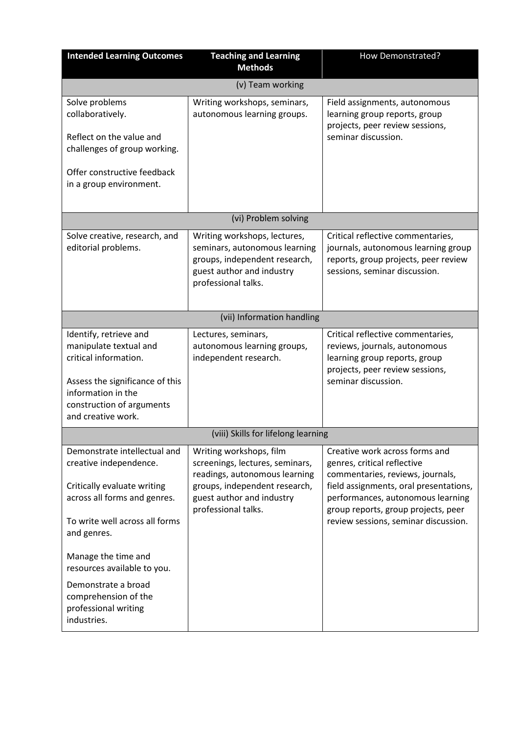| <b>Intended Learning Outcomes</b>                                                                                                                                                                                                                                                                                  | <b>Teaching and Learning</b><br><b>Methods</b>                                                                                                                                   | How Demonstrated?                                                                                                                                                                                                                                               |  |
|--------------------------------------------------------------------------------------------------------------------------------------------------------------------------------------------------------------------------------------------------------------------------------------------------------------------|----------------------------------------------------------------------------------------------------------------------------------------------------------------------------------|-----------------------------------------------------------------------------------------------------------------------------------------------------------------------------------------------------------------------------------------------------------------|--|
| (v) Team working                                                                                                                                                                                                                                                                                                   |                                                                                                                                                                                  |                                                                                                                                                                                                                                                                 |  |
| Solve problems<br>collaboratively.<br>Reflect on the value and<br>challenges of group working.<br>Offer constructive feedback<br>in a group environment.                                                                                                                                                           | Writing workshops, seminars,<br>autonomous learning groups.                                                                                                                      | Field assignments, autonomous<br>learning group reports, group<br>projects, peer review sessions,<br>seminar discussion.                                                                                                                                        |  |
|                                                                                                                                                                                                                                                                                                                    | (vi) Problem solving                                                                                                                                                             |                                                                                                                                                                                                                                                                 |  |
| Solve creative, research, and<br>editorial problems.                                                                                                                                                                                                                                                               | Writing workshops, lectures,<br>seminars, autonomous learning<br>groups, independent research,<br>guest author and industry<br>professional talks.                               | Critical reflective commentaries,<br>journals, autonomous learning group<br>reports, group projects, peer review<br>sessions, seminar discussion.                                                                                                               |  |
| (vii) Information handling                                                                                                                                                                                                                                                                                         |                                                                                                                                                                                  |                                                                                                                                                                                                                                                                 |  |
| Identify, retrieve and<br>manipulate textual and<br>critical information.<br>Assess the significance of this<br>information in the<br>construction of arguments<br>and creative work.                                                                                                                              | Lectures, seminars,<br>autonomous learning groups,<br>independent research.                                                                                                      | Critical reflective commentaries,<br>reviews, journals, autonomous<br>learning group reports, group<br>projects, peer review sessions,<br>seminar discussion.                                                                                                   |  |
|                                                                                                                                                                                                                                                                                                                    | (viii) Skills for lifelong learning                                                                                                                                              |                                                                                                                                                                                                                                                                 |  |
| Demonstrate intellectual and<br>creative independence.<br>Critically evaluate writing<br>across all forms and genres.<br>To write well across all forms<br>and genres.<br>Manage the time and<br>resources available to you.<br>Demonstrate a broad<br>comprehension of the<br>professional writing<br>industries. | Writing workshops, film<br>screenings, lectures, seminars,<br>readings, autonomous learning<br>groups, independent research,<br>guest author and industry<br>professional talks. | Creative work across forms and<br>genres, critical reflective<br>commentaries, reviews, journals,<br>field assignments, oral presentations,<br>performances, autonomous learning<br>group reports, group projects, peer<br>review sessions, seminar discussion. |  |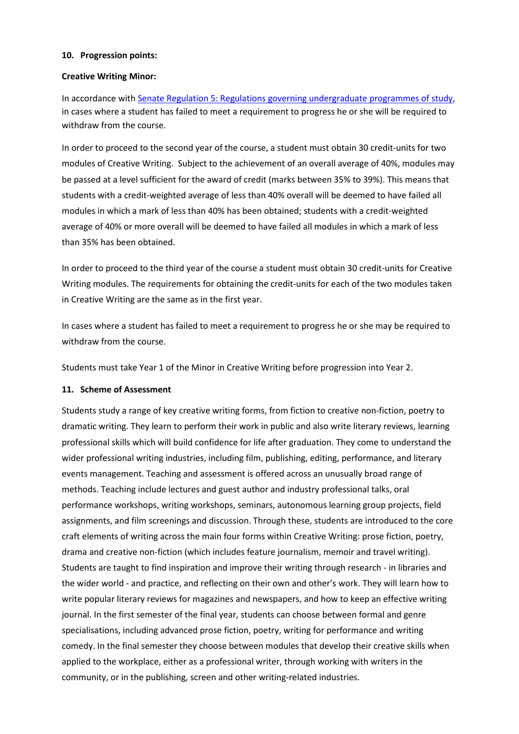#### **10. Progression points:**

#### **Creative Writing Minor:**

In accordance with [Senate Regulation 5: Regulations governing undergraduate programmes of study,](https://www2.le.ac.uk/offices/sas2/regulations/documents/senatereg5-undergraduates) in cases where a student has failed to meet a requirement to progress he or she will be required to withdraw from the course.

In order to proceed to the second year of the course, a student must obtain 30 credit-units for two modules of Creative Writing. Subject to the achievement of an overall average of 40%, modules may be passed at a level sufficient for the award of credit (marks between 35% to 39%). This means that students with a credit-weighted average of less than 40% overall will be deemed to have failed all modules in which a mark of less than 40% has been obtained; students with a credit-weighted average of 40% or more overall will be deemed to have failed all modules in which a mark of less than 35% has been obtained.

In order to proceed to the third year of the course a student must obtain 30 credit-units for Creative Writing modules. The requirements for obtaining the credit-units for each of the two modules taken in Creative Writing are the same as in the first year.

In cases where a student has failed to meet a requirement to progress he or she may be required to withdraw from the course.

Students must take Year 1 of the Minor in Creative Writing before progression into Year 2.

#### **11. Scheme of Assessment**

Students study a range of key creative writing forms, from fiction to creative non-fiction, poetry to dramatic writing. They learn to perform their work in public and also write literary reviews, learning professional skills which will build confidence for life after graduation. They come to understand the wider professional writing industries, including film, publishing, editing, performance, and literary events management. Teaching and assessment is offered across an unusually broad range of methods. Teaching include lectures and guest author and industry professional talks, oral performance workshops, writing workshops, seminars, autonomous learning group projects, field assignments, and film screenings and discussion. Through these, students are introduced to the core craft elements of writing across the main four forms within Creative Writing: prose fiction, poetry, drama and creative non-fiction (which includes feature journalism, memoir and travel writing). Students are taught to find inspiration and improve their writing through research - in libraries and the wider world - and practice, and reflecting on their own and other's work. They will learn how to write popular literary reviews for magazines and newspapers, and how to keep an effective writing journal. In the first semester of the final year, students can choose between formal and genre specialisations, including advanced prose fiction, poetry, writing for performance and writing comedy. In the final semester they choose between modules that develop their creative skills when applied to the workplace, either as a professional writer, through working with writers in the community, or in the publishing, screen and other writing-related industries.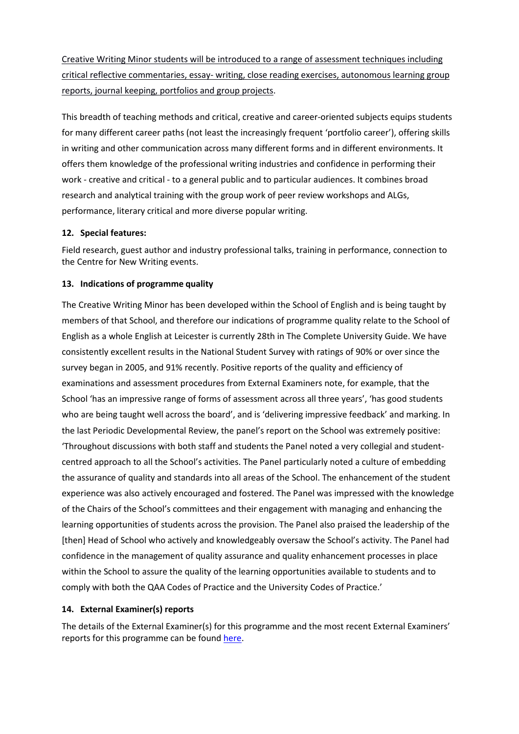Creative Writing Minor students will be introduced to a range of assessment techniques including critical reflective commentaries, essay- writing, close reading exercises, autonomous learning group reports, journal keeping, portfolios and group projects.

This breadth of teaching methods and critical, creative and career-oriented subjects equips students for many different career paths (not least the increasingly frequent 'portfolio career'), offering skills in writing and other communication across many different forms and in different environments. It offers them knowledge of the professional writing industries and confidence in performing their work - creative and critical - to a general public and to particular audiences. It combines broad research and analytical training with the group work of peer review workshops and ALGs, performance, literary critical and more diverse popular writing.

## **12. Special features:**

Field research, guest author and industry professional talks, training in performance, connection to the Centre for New Writing events.

## **13. Indications of programme quality**

The Creative Writing Minor has been developed within the School of English and is being taught by members of that School, and therefore our indications of programme quality relate to the School of English as a whole English at Leicester is currently 28th in The Complete University Guide. We have consistently excellent results in the National Student Survey with ratings of 90% or over since the survey began in 2005, and 91% recently. Positive reports of the quality and efficiency of examinations and assessment procedures from External Examiners note, for example, that the School 'has an impressive range of forms of assessment across all three years', 'has good students who are being taught well across the board', and is 'delivering impressive feedback' and marking. In the last Periodic Developmental Review, the panel's report on the School was extremely positive: 'Throughout discussions with both staff and students the Panel noted a very collegial and studentcentred approach to all the School's activities. The Panel particularly noted a culture of embedding the assurance of quality and standards into all areas of the School. The enhancement of the student experience was also actively encouraged and fostered. The Panel was impressed with the knowledge of the Chairs of the School's committees and their engagement with managing and enhancing the learning opportunities of students across the provision. The Panel also praised the leadership of the [then] Head of School who actively and knowledgeably oversaw the School's activity. The Panel had confidence in the management of quality assurance and quality enhancement processes in place within the School to assure the quality of the learning opportunities available to students and to comply with both the QAA Codes of Practice and the University Codes of Practice.'

## **14. External Examiner(s) reports**

The details of the External Examiner(s) for this programme and the most recent External Examiners' reports for this programme can be found [here.](https://exampapers.le.ac.uk/xmlui/)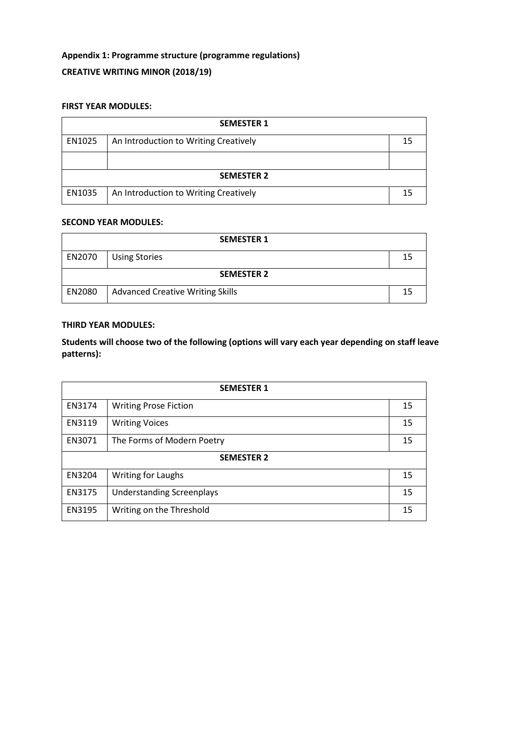# **Appendix 1: Programme structure (programme regulations) CREATIVE WRITING MINOR (2018/19)**

## **FIRST YEAR MODULES:**

| <b>SEMESTER 1</b> |                                       |    |
|-------------------|---------------------------------------|----|
| EN1025            | An Introduction to Writing Creatively | 15 |
|                   |                                       |    |
| <b>SEMESTER 2</b> |                                       |    |
| EN1035            | An Introduction to Writing Creatively | 15 |

#### **SECOND YEAR MODULES:**

| <b>SEMESTER 1</b> |                                         |  |
|-------------------|-----------------------------------------|--|
| EN2070            | <b>Using Stories</b>                    |  |
| <b>SEMESTER 2</b> |                                         |  |
| EN2080            | <b>Advanced Creative Writing Skills</b> |  |

#### **THIRD YEAR MODULES:**

**Students will choose two of the following (options will vary each year depending on staff leave patterns):**

| <b>SEMESTER 1</b> |                                  |    |
|-------------------|----------------------------------|----|
| EN3174            | <b>Writing Prose Fiction</b>     | 15 |
| EN3119            | <b>Writing Voices</b>            | 15 |
| EN3071            | The Forms of Modern Poetry       | 15 |
| <b>SEMESTER 2</b> |                                  |    |
| EN3204            | <b>Writing for Laughs</b>        | 15 |
| EN3175            | <b>Understanding Screenplays</b> | 15 |
| EN3195            | Writing on the Threshold         | 15 |